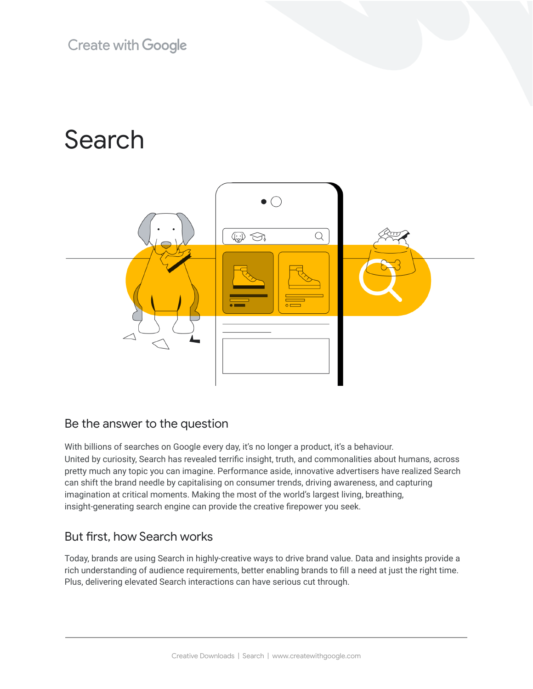**Create with Google** 

# Search



## Be the answer to the question

With billions of searches on Google every day, it's no longer a product, it's a behaviour. United by curiosity, Search has revealed terrific insight, truth, and commonalities about humans, across pretty much any topic you can imagine. Performance aside, innovative advertisers have realized Search can shift the brand needle by capitalising on consumer trends, driving awareness, and capturing imagination at critical moments. Making the most of the world's largest living, breathing, insight-generating search engine can provide the creative firepower you seek.

## But first, how Search works

Today, brands are using Search in highly-creative ways to drive brand value. Data and insights provide a rich understanding of audience requirements, better enabling brands to fill a need at just the right time. Plus, delivering elevated Search interactions can have serious cut through.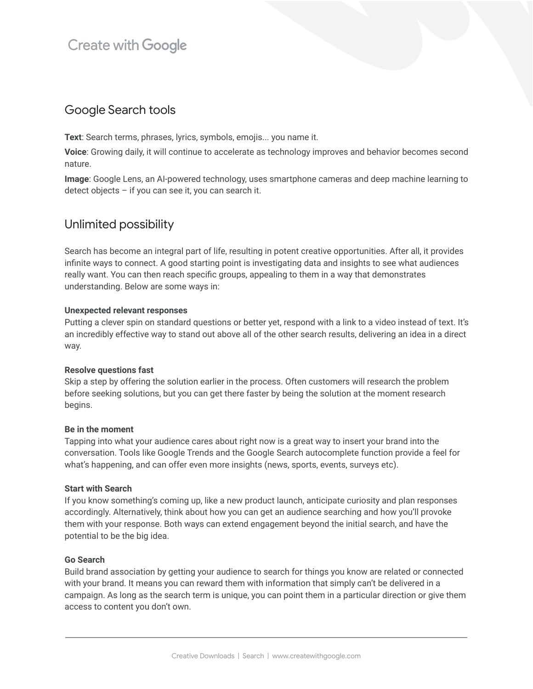# **Create with Google**

## Google Search tools

**Text**: Search terms, phrases, lyrics, symbols, emojis... you name it.

**Voice**: Growing daily, it will continue to accelerate as technology improves and behavior becomes second nature.

**Image**: Google Lens, an AI-powered technology, uses smartphone cameras and deep machine learning to detect objects – if you can see it, you can search it.

## Unlimited possibility

Search has become an integral part of life, resulting in potent creative opportunities. After all, it provides infinite ways to connect. A good starting point is investigating data and insights to see what audiences really want. You can then reach specific groups, appealing to them in a way that demonstrates understanding. Below are some ways in:

#### **Unexpected relevant responses**

Putting a clever spin on standard questions or better yet, respond with a link to a video instead of text. It's an incredibly effective way to stand out above all of the other search results, delivering an idea in a direct way.

#### **Resolve questions fast**

Skip a step by offering the solution earlier in the process. Often customers will research the problem before seeking solutions, but you can get there faster by being the solution at the moment research begins.

#### **Be in the moment**

Tapping into what your audience cares about right now is a great way to insert your brand into the conversation. Tools like Google Trends and the Google Search autocomplete function provide a feel for what's happening, and can offer even more insights (news, sports, events, surveys etc).

#### **Start with Search**

If you know something's coming up, like a new product launch, anticipate curiosity and plan responses accordingly. Alternatively, think about how you can get an audience searching and how you'll provoke them with your response. Both ways can extend engagement beyond the initial search, and have the potential to be the big idea.

#### **Go Search**

Build brand association by getting your audience to search for things you know are related or connected with your brand. It means you can reward them with information that simply can't be delivered in a campaign. As long as the search term is unique, you can point them in a particular direction or give them access to content you don't own.